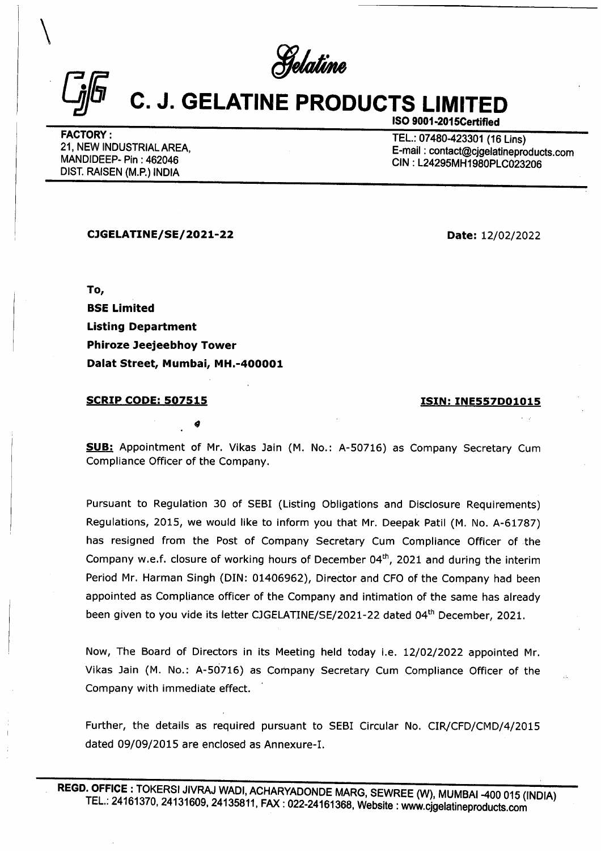## Gi C. J. GELATINE PRODUCTS LIMITED  $\frac{C_{j}F}{\sqrt{C_{j}F}}$  C. J. GELATINE PF

FACTORY :<br>21, NEW INDUSTRIAL AREA, E-mail : 07480-423301 (16 Lins)<br>MANDIDEEP- Pin : 462046 CIN : L24295MH1980PLC023206<br>DIST. RAISEN (M.P.) INDIA

ISO 9001-2015Certified

CIGELATINE/SE/ 2021-22 Date: 12/02/2022

To, BSE Limited Listing Department Phiroze Jeejeebhoy Tower Dalat Street, Mumbai, MH.-400001

9

## **SCRIP CODE: 507515 ISIN: INE557D01015**

SUB: Appointment of Mr. Vikas Jain (M. No.: A-50716) as Company Secretary Cum Compliance Officer of the Company.

Pursuant to Regulation 30 of SEBI (Listing Obligations and Disclosure Requirements) Regulations, 2015, we would like to inform you that Mr. Deepak Patil (M. No. A-61787) has resigned from the Post of Company Secretary Cum Compliance Officer of the Company w.e.f. closure of working hours of December  $04<sup>th</sup>$ , 2021 and during the interim Period Mr. Harman Singh (DIN: 01406962), Director and CFO of the Company had been appointed as Compliance officer of the Company and intimation of the same has already been given to you vide its letter CJGELATINE/SE/2021-22 dated 04<sup>th</sup> December, 2021. To,<br>
BSE Limited<br>
Listing Department<br>
Phiroze Jeejeebhoy Tower<br>
Dalat Street, Mumbai, MH.-400001<br>
SCRIP CODE: 507515<br>
9<br>
SUB: Appointment of Mr. Vikas Jain (M.<br>
Compliance Officer of the Company.<br>
Pursuant to Regulation 30

Now, The Board of Directors in its Meeting held today i.e. 12/02/2022 appointed Mr. Vikas Jain (M. No.: A-50716) as Company Secretary Cum Compliance Officer of the Company with immediate effect.

Further, the details as required pursuant to SEBI Circular No. CIR/CFD/CMD/4/2015 dated 09/09/2015 are enclosed as Annexure-I.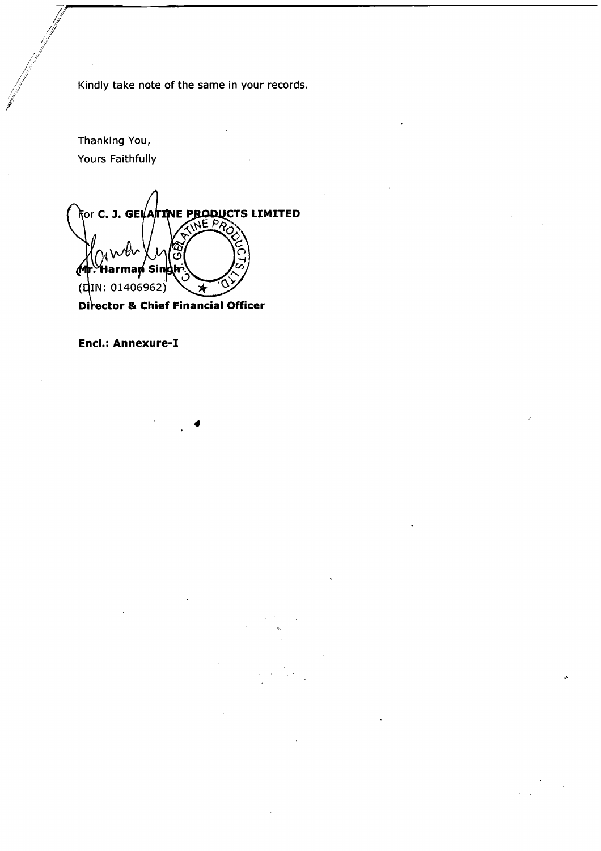Kindly take note of the same in your records.

<u> 1980 - Johann Harry Harry Harry Harry Harry Harry Harry Harry Harry Harry Harry Harry Harry Harry Harry Harry</u>

Thanking You, Yours Faithfully

f #

for **C. J. GELATINE PRODUCTS LIMITED** NE P Sir  $(din: 01406962)$ Ń Director & Chief Financial Officer

Encl.: Annexure-I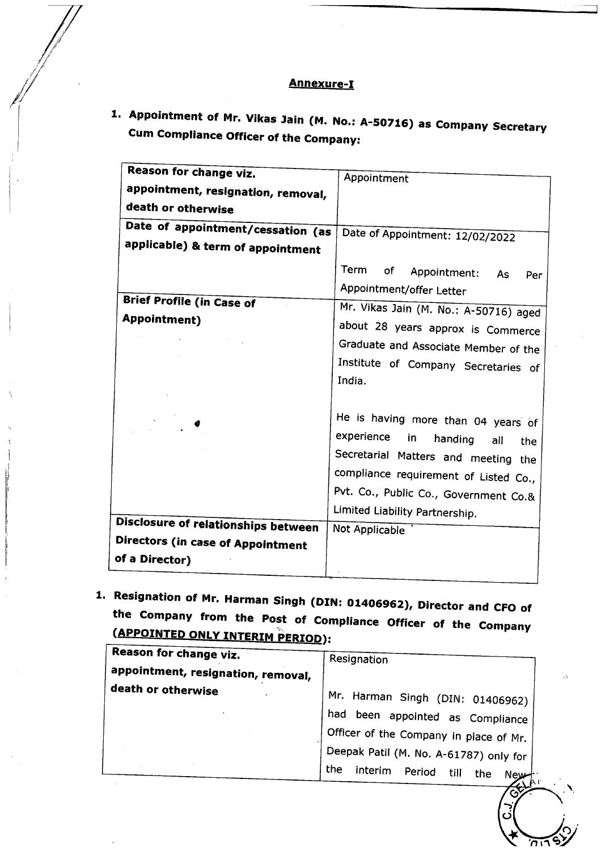## Annexure-I

1. Appointment of Mr. Vikas Jain (M. No.: A-50716) as Company Secretary Annexur<br>
Appointment of Mr. Vikas Jain (M. P<br>
Cum Compliance Officer of the Comp<br>
Reason for change viz. Cum Compliance Officer of the Company:

| <u>Annexure-I</u>                                                                                        |                                                                                       |
|----------------------------------------------------------------------------------------------------------|---------------------------------------------------------------------------------------|
| <b>Cum Compliance Officer of the Company:</b>                                                            | 1. Appointment of Mr. Vikas Jain (M. No.: A-50716) as Company Secretary               |
| Reason for change viz.<br>appointment, resignation, removal,                                             | Appointment                                                                           |
| death or otherwise<br>Date of appointment/cessation (as<br>applicable) & term of appointment             | Date of Appointment: 12/02/2022                                                       |
|                                                                                                          | Term<br>οf<br>Appointment:<br>As<br>Per<br>Appointment/offer Letter                   |
| <b>Brief Profile (in Case of</b><br><b>Appointment)</b>                                                  | Mr. Vikas Jain (M. No.: A-50716) aged<br>about 28 years approx is Commerce            |
|                                                                                                          | Graduate and Associate Member of the<br>Institute of Company Secretaries of<br>India. |
|                                                                                                          | He is having more than 04 years of<br>experience<br>in.<br>handing<br>all<br>the      |
|                                                                                                          | Secretarial Matters and meeting the<br>compliance requirement of Listed Co.,          |
|                                                                                                          | Pvt. Co., Public Co., Government Co.&<br>Limited Liability Partnership.               |
| <b>Disclosure of relationships between</b><br><b>Directors (in case of Appointment</b><br>of a Director) | Not Applicable                                                                        |
| 1. Resignation of Mr. Harman Singh (DIN: 01406962), Director and CFO of                                  |                                                                                       |
|                                                                                                          |                                                                                       |
| the Company from the Post of Compliance Officer of the Company                                           |                                                                                       |
| (APPOINTED ONLY INTERIM PERIOD):                                                                         |                                                                                       |
| Reason for change viz.                                                                                   | Resignation                                                                           |
| appointment, resignation, removal,<br>death or otherwise                                                 |                                                                                       |
|                                                                                                          | Mr. Harman Singh (DIN: 01406962)                                                      |
|                                                                                                          | had been appointed as Compliance                                                      |
|                                                                                                          | Officer of the Company in place of Mr.<br>Deepak Patil (M. No. A-61787) only for      |

| Reason for change viz.             | Resignation                                                          |
|------------------------------------|----------------------------------------------------------------------|
| appointment, resignation, removal, |                                                                      |
| death or otherwise                 | Mr. Harman Singh (DIN: 01406962)<br>had been appointed as Compliance |
|                                    | Officer of the Company in place of Mr.                               |
|                                    | Deepak Patil (M. No. A-61787) only for                               |
|                                    | the<br>interim<br>Period<br>till<br>the<br><b>New</b>                |

**C.J**